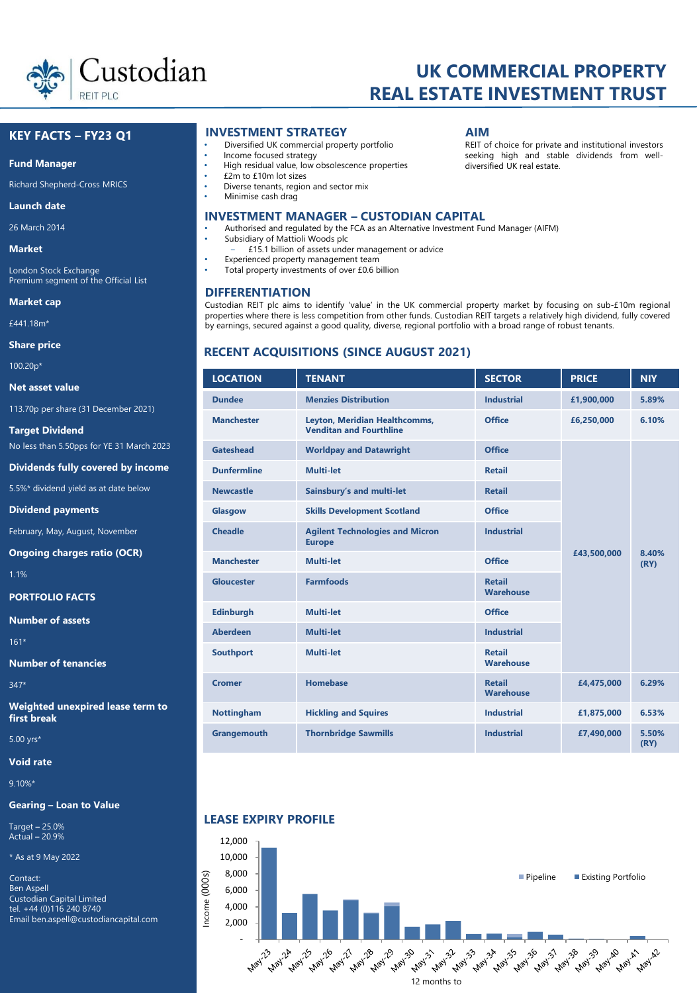

# **UK COMMERCIAL PROPERTY REAL ESTATE INVESTMENT TRUST**

# **KEY FACTS – FY23 Q1**

#### **Fund Manager**

Richard Shepherd-Cross MRICS

#### **Launch date**

26 March 2014

**Market**

London Stock Exchange Premium segment of the Official List

**Market cap** 

£441.18m\*

**Share price**

100.20p\*

**Net asset value**

113.70p per share (31 December 2021)

**Target Dividend** No less than 5.50pps for YE 31 March 2023

**Dividends fully covered by income**

5.5%\* dividend yield as at date below

**Dividend payments**

February, May, August, November

**Ongoing charges ratio (OCR)**

1.1%

**PORTFOLIO FACTS**

**Number of assets** 

161\*

**Number of tenancies**

347\*

**Weighted unexpired lease term to first break**

5.00 yrs\*

**Void rate** 

9.10%\*

## **Gearing – Loan to Value**

Target **–** 25.0% Actual **–** 20.9%

\* As at 9 May 2022

Contact: Ben Aspell Custodian Capital Limited tel. +44 (0)116 240 8740 Email ben.aspell@custodiancapital.com

# **INVESTMENT STRATEGY AIM**

- Diversified UK commercial property portfolio
- Income focused strategy
- High residual value, low obsolescence properties
- £2m to £10m lot sizes
- Diverse tenants, region and sector mix Minimise cash drag
- 

# **INVESTMENT MANAGER – CUSTODIAN CAPITAL**

- Authorised and regulated by the FCA as an Alternative Investment Fund Manager (AIFM)
- Subsidiary of Mattioli Woods plc
- ‒ £15.1 billion of assets under management or advice
- Experienced property management team
- Total property investments of over £0.6 billion

## **DIFFERENTIATION**

REIT of choice for private and institutional investors seeking high and stable dividends from welldiversified UK real estate.

Custodian REIT plc aims to identify 'value' in the UK commercial property market by focusing on sub-£10m regional properties where there is less competition from other funds. Custodian REIT targets a relatively high dividend, fully covered by earnings, secured against a good quality, diverse, regional portfolio with a broad range of robust tenants.

# **RECENT ACQUISITIONS (SINCE AUGUST 2021)**

| <b>LOCATION</b>    | <b>TENANT</b>                                                   | <b>SECTOR</b>                     | <b>PRICE</b> | <b>NIY</b>    |
|--------------------|-----------------------------------------------------------------|-----------------------------------|--------------|---------------|
| <b>Dundee</b>      | <b>Menzies Distribution</b>                                     | <b>Industrial</b>                 | £1,900,000   | 5.89%         |
| <b>Manchester</b>  | Leyton, Meridian Healthcomms,<br><b>Venditan and Fourthline</b> | <b>Office</b>                     | £6,250,000   | 6.10%         |
| <b>Gateshead</b>   | <b>Worldpay and Datawright</b>                                  | <b>Office</b>                     |              |               |
| <b>Dunfermline</b> | <b>Multi-let</b>                                                | <b>Retail</b>                     |              |               |
| <b>Newcastle</b>   | Sainsbury's and multi-let                                       | <b>Retail</b>                     |              |               |
| Glasgow            | <b>Skills Development Scotland</b>                              | <b>Office</b>                     |              |               |
| <b>Cheadle</b>     | <b>Agilent Technologies and Micron</b><br><b>Europe</b>         | <b>Industrial</b>                 | £43,500,000  | 8.40%<br>(RY) |
| <b>Manchester</b>  | <b>Multi-let</b>                                                | Office                            |              |               |
| <b>Gloucester</b>  | <b>Farmfoods</b>                                                | <b>Retail</b><br><b>Warehouse</b> |              |               |
| <b>Edinburgh</b>   | <b>Multi-let</b>                                                | Office                            |              |               |
| <b>Aberdeen</b>    | <b>Multi-let</b>                                                | <b>Industrial</b>                 |              |               |
| <b>Southport</b>   | <b>Multi-let</b>                                                | <b>Retail</b><br><b>Warehouse</b> |              |               |
| <b>Cromer</b>      | <b>Homebase</b>                                                 | <b>Retail</b><br>Warehouse        | £4,475,000   | 6.29%         |
| <b>Nottingham</b>  | <b>Hickling and Squires</b>                                     | <b>Industrial</b>                 | £1,875,000   | 6.53%         |
| Grangemouth        | <b>Thornbridge Sawmills</b>                                     | <b>Industrial</b>                 | £7,490,000   | 5.50%<br>(RY) |

# **LEASE EXPIRY PROFILE**